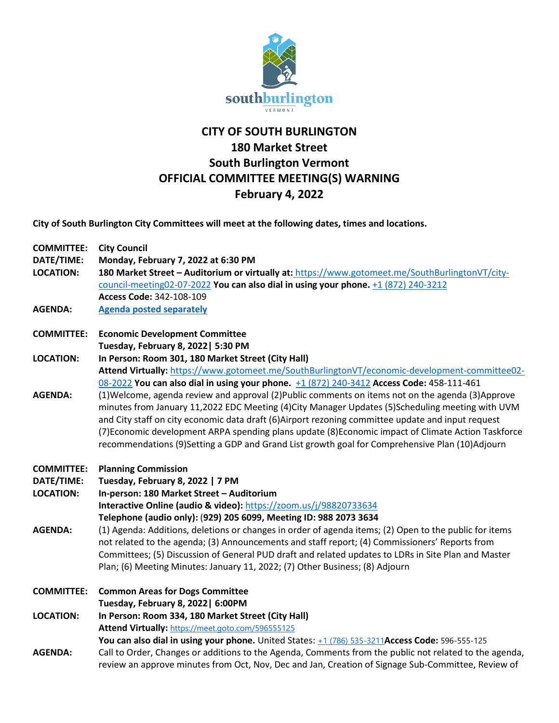

## **CITY OF SOUTH BURLINGTON 180 Market Street South Burlington Vermont OFFICIAL COMMITTEE MEETING(S) WARNING February 4, 2022**

**City of South Burlington City Committees will meet at the following dates, times and locations.** 

| <b>COMMITTEE:</b> | <b>City Council</b>                                                                                    |
|-------------------|--------------------------------------------------------------------------------------------------------|
| DATE/TIME:        | Monday, February 7, 2022 at 6:30 PM                                                                    |
| <b>LOCATION:</b>  | 180 Market Street - Auditorium or virtually at: https://www.gotomeet.me/SouthBurlingtonVT/city-        |
|                   | council-meeting02-07-2022 You can also dial in using your phone. +1 (872) 240-3212                     |
|                   | Access Code: 342-108-109                                                                               |
| <b>AGENDA:</b>    | <b>Agenda posted separately</b>                                                                        |
| <b>COMMITTEE:</b> | <b>Economic Development Committee</b>                                                                  |
|                   | Tuesday, February 8, 2022   5:30 PM                                                                    |
| <b>LOCATION:</b>  | In Person: Room 301, 180 Market Street (City Hall)                                                     |
|                   | Attend Virtually: https://www.gotomeet.me/SouthBurlingtonVT/economic-development-committee02-          |
|                   | 08-2022 You can also dial in using your phone. +1 (872) 240-3412 Access Code: 458-111-461              |
| <b>AGENDA:</b>    | (1) Welcome, agenda review and approval (2) Public comments on items not on the agenda (3) Approve     |
|                   | minutes from January 11,2022 EDC Meeting (4)City Manager Updates (5)Scheduling meeting with UVM        |
|                   | and City staff on city economic data draft (6) Airport rezoning committee update and input request     |
|                   | (7) Economic development ARPA spending plans update (8) Economic impact of Climate Action Taskforce    |
|                   | recommendations (9)Setting a GDP and Grand List growth goal for Comprehensive Plan (10)Adjourn         |
|                   |                                                                                                        |
| <b>COMMITTEE:</b> | <b>Planning Commission</b>                                                                             |
| DATE/TIME:        | Tuesday, February 8, 2022   7 PM                                                                       |
| <b>LOCATION:</b>  | In-person: 180 Market Street - Auditorium                                                              |
|                   | Interactive Online (audio & video): https://zoom.us/j/98820733634                                      |
|                   | Telephone (audio only): (929) 205 6099, Meeting ID: 988 2073 3634                                      |
| <b>AGENDA:</b>    | (1) Agenda: Additions, deletions or changes in order of agenda items; (2) Open to the public for items |
|                   | not related to the agenda; (3) Announcements and staff report; (4) Commissioners' Reports from         |
|                   | Committees; (5) Discussion of General PUD draft and related updates to LDRs in Site Plan and Master    |
|                   | Plan; (6) Meeting Minutes: January 11, 2022; (7) Other Business; (8) Adjourn                           |
| <b>COMMITTEE:</b> | <b>Common Areas for Dogs Committee</b>                                                                 |
|                   | Tuesday, February 8, 2022   6:00PM                                                                     |
| <b>LOCATION:</b>  | In Person: Room 334, 180 Market Street (City Hall)                                                     |
|                   | Attend Virtually: https://meet.goto.com/596555125                                                      |
|                   | You can also dial in using your phone. United States: +1 (786) 535-3211 Access Code: 596-555-125       |
| <b>AGENDA:</b>    | Call to Order, Changes or additions to the Agenda, Comments from the public not related to the agenda, |